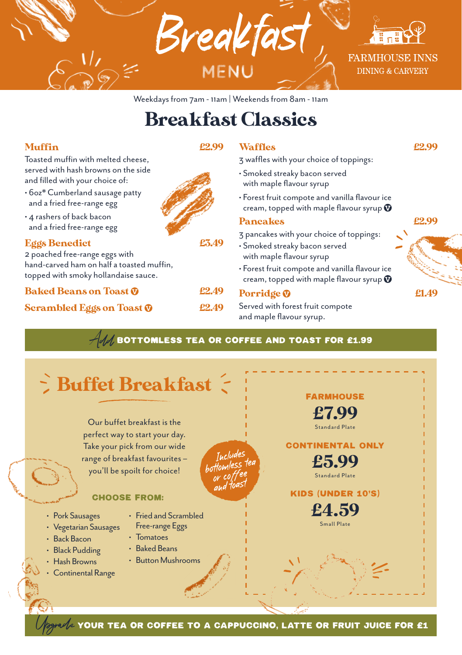

## Breakfast Classics

### Muffin £2.99

Toasted muffin with melted cheese, served with hash browns on the side and filled with your choice of:

- 6oz\* Cumberland sausage patty and a fried free-range egg
- 4 rashers of back bacon and a fried free-range egg

#### Eggs Benedict £3.49

2 poached free-range eggs with hand-carved ham on half a toasted muffin, topped with smoky hollandaise sauce.

Baked Beans on Toast  $\odot$  62.49

#### Scrambled Eggs on Toast  $\Phi$  22.49



3 waffles with your choice of toppings: • Smoked streaky bacon served

- with maple flavour syrup
- Forest fruit compote and vanilla flavour ice cream, topped with maple flavour syrup  $\bm{\mathbb{O}}$

Waffles **EXECUTE:**  $\angle 2.99$ 

#### Pancakes **22.99**

3 pancakes with your choice of toppings:

- Smoked streaky bacon served with maple flavour syrup
- Forest fruit compote and vanilla flavour ice cream, topped with maple flavour syrup  $\bm{\Psi}$

#### Porridge  $\odot$  e1.49

Served with forest fruit compote and maple flavour syrup.



 $\mathcal{A}$  bottomless tea or coffee and Toast for £1.99

#### Our buffet breakfast is the perfect way to start your day. Take your pick from our wide range of breakfast favourites – you'll be spoilt for choice!  $\zeta$  Buffet Breakfast  $\zeta$ FARMHOUSE £7.99 Standard Plate CONTINENTAL ONLY £5.99 Standard Plate KIDS (UNDER 10'S) £4.59 Small Plate CHOOSE FROM: • Pork Sausages • Vegetarian Sausages • Back Bacon • Black Pudding • Hash Browns • Continental Range • Fried and Scrambled Free-range Eggs • Tomatoes • Baked Beans • Button Mushrooms Includes or coffee and toast

YOUR TEA OR COFFEE TO A CAPPUCCINO, LATTE OR FRUIT JUICE FOR £1